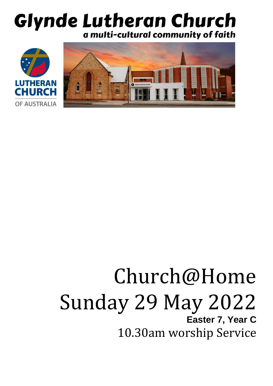# **Glynde Lutheran Church** a multi-cultural community of faith





# Church@Home Sunday 29 May 2022 **Easter 7, Year C**

10.30am worship Service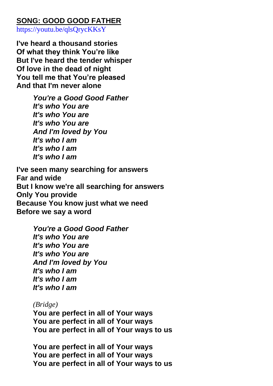# **SONG: GOOD GOOD FATHER**

<https://youtu.be/qlsQrycKKsY>

**I've heard a thousand stories Of what they think You're like But I've heard the tender whisper Of love in the dead of night You tell me that You're pleased And that I'm never alone**

> *You're a Good Good Father It's who You are It's who You are It's who You are And I'm loved by You It's who I am It's who I am It's who I am*

**I've seen many searching for answers Far and wide But I know we're all searching for answers Only You provide Because You know just what we need Before we say a word**

> *You're a Good Good Father It's who You are It's who You are It's who You are And I'm loved by You It's who I am It's who I am It's who I am*

*(Bridge)*

**You are perfect in all of Your ways You are perfect in all of Your ways You are perfect in all of Your ways to us**

**You are perfect in all of Your ways You are perfect in all of Your ways You are perfect in all of Your ways to us**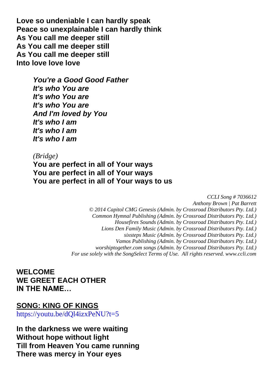**Love so undeniable I can hardly speak Peace so unexplainable I can hardly think As You call me deeper still As You call me deeper still As You call me deeper still Into love love love**

> *You're a Good Good Father It's who You are It's who You are It's who You are And I'm loved by You It's who I am It's who I am It's who I am*

*(Bridge)* **You are perfect in all of Your ways You are perfect in all of Your ways You are perfect in all of Your ways to us**

> *CCLI Song # 7036612 Anthony Brown | Pat Barrett © 2014 Capitol CMG Genesis (Admin. by Crossroad Distributors Pty. Ltd.) Common Hymnal Publishing (Admin. by Crossroad Distributors Pty. Ltd.) Housefires Sounds (Admin. by Crossroad Distributors Pty. Ltd.) Lions Den Family Music (Admin. by Crossroad Distributors Pty. Ltd.) sixsteps Music (Admin. by Crossroad Distributors Pty. Ltd.) Vamos Publishing (Admin. by Crossroad Distributors Pty. Ltd.) worshiptogether.com songs (Admin. by Crossroad Distributors Pty. Ltd.) For use solely with the SongSelect Terms of Use. All rights reserved. www.ccli.com*

# **WELCOME WE GREET EACH OTHER IN THE NAME…**

**SONG: KING OF KINGS** <https://youtu.be/dQl4izxPeNU?t=5>

**In the darkness we were waiting Without hope without light Till from Heaven You came running There was mercy in Your eyes**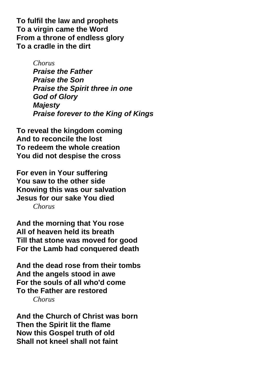**To fulfil the law and prophets To a virgin came the Word From a throne of endless glory To a cradle in the dirt**

> *Chorus Praise the Father Praise the Son Praise the Spirit three in one God of Glory Majesty Praise forever to the King of Kings*

**To reveal the kingdom coming And to reconcile the lost To redeem the whole creation You did not despise the cross**

**For even in Your suffering You saw to the other side Knowing this was our salvation Jesus for our sake You died**

*Chorus*

**And the morning that You rose All of heaven held its breath Till that stone was moved for good For the Lamb had conquered death**

**And the dead rose from their tombs And the angels stood in awe For the souls of all who'd come To the Father are restored**

*Chorus*

**And the Church of Christ was born Then the Spirit lit the flame Now this Gospel truth of old Shall not kneel shall not faint**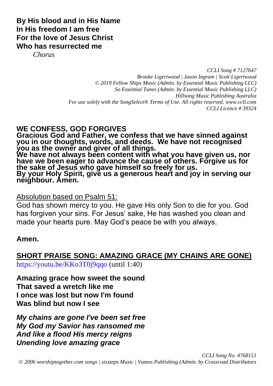# **By His blood and in His Name In His freedom I am free For the love of Jesus Christ Who has resurrected me**

*Chorus*

*CCLI Song # 7127647 Brooke Ligertwood | Jason Ingram | Scott Ligertwood © 2019 Fellow Ships Music (Admin. by Essential Music Publishing LLC) So Essential Tunes (Admin. by Essential Music Publishing LLC) Hillsong Music Publishing Australia For use solely with the SongSelect® Terms of Use. All rights reserved. [www.ccli.com](http://www.ccli.com/) CCLI Licence # 39324*

## **WE CONFESS, GOD FORGIVES**

**Gracious God and Father, we confess that we have sinned against you in our thoughts, words, and deeds. We have not recognised you as the owner and giver of all things. We have not always been content with what you have given us, nor have we been eager to advance the cause of others. Forgive us for the sake of Jesus who gave himself so freely for us. By your Holy Spirit, give us a generous heart and joy in serving our neighbour. Amen.**

### Absolution based on Psalm 51:

God has shown mercy to you. He gave His only Son to die for you. God has forgiven your sins. For Jesus' sake, He has washed you clean and made your hearts pure. May God's peace be with you always.

# **Amen.**

# **SHORT PRAISE SONG: AMAZING GRACE (MY CHAINS ARE GONE)**

<https://youtu.be/KKo3T0j9qqo> (until 1:40)

**Amazing grace how sweet the sound That saved a wretch like me I once was lost but now I'm found Was blind but now I see**

*My chains are gone I've been set free My God my Savior has ransomed me And like a flood His mercy reigns Unending love amazing grace*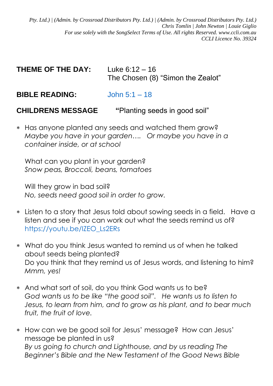*Pty. Ltd.) | (Admin. by Crossroad Distributors Pty. Ltd.) | (Admin. by Crossroad Distributors Pty. Ltd.) Chris Tomlin | John Newton | Louie Giglio For use solely with the SongSelect Terms of Use. All rights Reserved. www.ccli.com.au CCLI Licence No. 39324*

# **THEME OF THE DAY:** Luke 6:12 – 16 The Chosen (8) "Simon the Zealot"

# **BIBLE READING:** [John 5:1 –](https://www.biblegateway.com/passage/?search=John+5%3A1+%E2%80%93+18&version=GNT) 18

# **CHILDRENS MESSAGE "**Planting seeds in good soil"

 Has anyone planted any seeds and watched them grow? *Maybe you have in your garden…. Or maybe you have in a container inside, or at school*

What can you plant in your garden? *Snow peas, Broccoli, beans, tomatoes*

Will they grow in bad soil? *No, seeds need good soil in order to grow.*

- Listen to a story that Jesus told about sowing seeds in a field. Have a listen and see if you can work out what the seeds remind us of? [https://youtu.be/IZEO\\_Ls2ERs](https://youtu.be/IZEO_Ls2ERs)
- What do you think Jesus wanted to remind us of when he talked about seeds being planted? Do you think that they remind us of Jesus words, and listening to him? *Mmm, yes!*
- And what sort of soil, do you think God wants us to be? God wants us to be like "the good soil". He wants us to listen to *Jesus, to learn from him, and to grow as his plant, and to bear much fruit, the fruit of love.*
- How can we be good soil for Jesus' message? How can Jesus' message be planted in us? *By us going to church and Lighthouse, and by us reading The Beginner's Bible and the New Testament of the Good News Bible*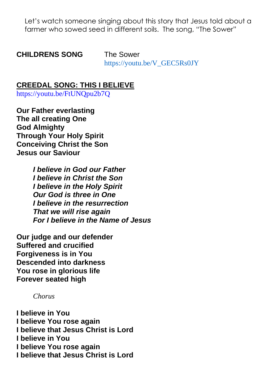Let's watch someone singing about this story that Jesus told about a farmer who sowed seed in different soils. The song, "The Sower"

**CHILDRENS SONG** The Sower

[https://youtu.be/V\\_GEC5Rs0JY](https://youtu.be/V_GEC5Rs0JY)

**CREEDAL SONG: THIS I BELIEVE**

<https://youtu.be/FtUNQpu2b7Q>

**Our Father everlasting The all creating One God Almighty Through Your Holy Spirit Conceiving Christ the Son Jesus our Saviour**

> *I believe in God our Father I believe in Christ the Son I believe in the Holy Spirit Our God is three in One I believe in the resurrection That we will rise again For I believe in the Name of Jesus*

**Our judge and our defender Suffered and crucified Forgiveness is in You Descended into darkness You rose in glorious life Forever seated high**

*Chorus*

**I believe in You I believe You rose again I believe that Jesus Christ is Lord I believe in You I believe You rose again I believe that Jesus Christ is Lord**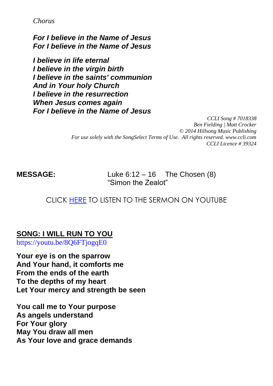*Chorus*

*For I believe in the Name of Jesus For I believe in the Name of Jesus*

*I believe in life eternal I believe in the virgin birth I believe in the saints' communion And in Your holy Church I believe in the resurrection When Jesus comes again For I believe in the Name of Jesus*

> *CCLI Song # 7018338 Ben Fielding | Matt Crocker © 2014 Hillsong Music Publishing For use solely with the SongSelect Terms of Use. All rights reserved. www.ccli.com CCLI Licence # 39324*

**MESSAGE:** Luke 6:12 – 16 The Chosen (8) "Simon the Zealot"

# CLICK [HERE](https://youtu.be/z-VBFkGD-vI) TO LISTEN TO THE SERMON ON YOUTUBE

# **SONG: I WILL RUN TO YOU**

<https://youtu.be/8Q6FTjogqE0>

**Your eye is on the sparrow And Your hand, it comforts me From the ends of the earth To the depths of my heart Let Your mercy and strength be seen**

**You call me to Your purpose As angels understand For Your glory May You draw all men As Your love and grace demands**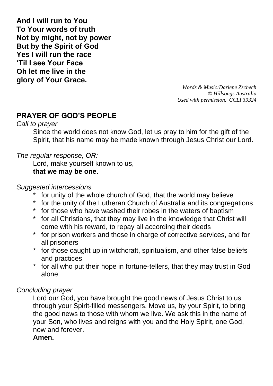**And I will run to You To Your words of truth Not by might, not by power But by the Spirit of God Yes I will run the race 'Til I see Your Face Oh let me live in the glory of Your Grace.**

> *Words & Music:Darlene Zschech © Hillsongs Australia Used with permission. CCLI 39324*

# **PRAYER OF GOD'S PEOPLE**

#### *Call to prayer*

Since the world does not know God, let us pray to him for the gift of the Spirit, that his name may be made known through Jesus Christ our Lord.

#### *The regular response, OR:*

Lord, make yourself known to us,

#### **that we may be one.**

#### *Suggested intercessions*

- \* for unity of the whole church of God, that the world may believe
- \* for the unity of the Lutheran Church of Australia and its congregations
- \* for those who have washed their robes in the waters of baptism
- \* for all Christians, that they may live in the knowledge that Christ will come with his reward, to repay all according their deeds
- \* for prison workers and those in charge of corrective services, and for all prisoners
- \* for those caught up in witchcraft, spiritualism, and other false beliefs and practices
- \* for all who put their hope in fortune-tellers, that they may trust in God alone

### *Concluding prayer*

Lord our God, you have brought the good news of Jesus Christ to us through your Spirit-filled messengers. Move us, by your Spirit, to bring the good news to those with whom we live. We ask this in the name of your Son, who lives and reigns with you and the Holy Spirit, one God, now and forever.

#### **Amen.**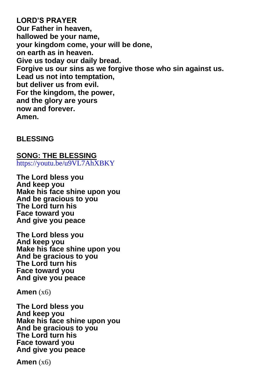**LORD'S PRAYER Our Father in heaven, hallowed be your name, your kingdom come, your will be done, on earth as in heaven. Give us today our daily bread. Forgive us our sins as we forgive those who sin against us. Lead us not into temptation, but deliver us from evil. For the kingdom, the power, and the glory are yours now and forever. Amen.**

**BLESSING**

**SONG: THE BLESSING** <https://youtu.be/u9VL7AhXBKY>

**The Lord bless you And keep you Make his face shine upon you And be gracious to you The Lord turn his Face toward you And give you peace**

**The Lord bless you And keep you Make his face shine upon you And be gracious to you The Lord turn his Face toward you And give you peace**

**Amen** (x6)

**The Lord bless you And keep you Make his face shine upon you And be gracious to you The Lord turn his Face toward you And give you peace**

**Amen** (x6)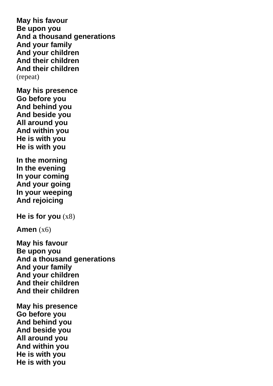**May his favour Be upon you And a thousand generations And your family And your children And their children And their children** (repeat) **May his presence Go before you And behind you And beside you All around you And within you He is with you He is with you In the morning In the evening In your coming And your going In your weeping And rejoicing He is for you** (x8) **Amen** (x6) **May his favour Be upon you And a thousand generations And your family And your children And their children And their children May his presence Go before you And behind you And beside you All around you And within you He is with you He is with you**